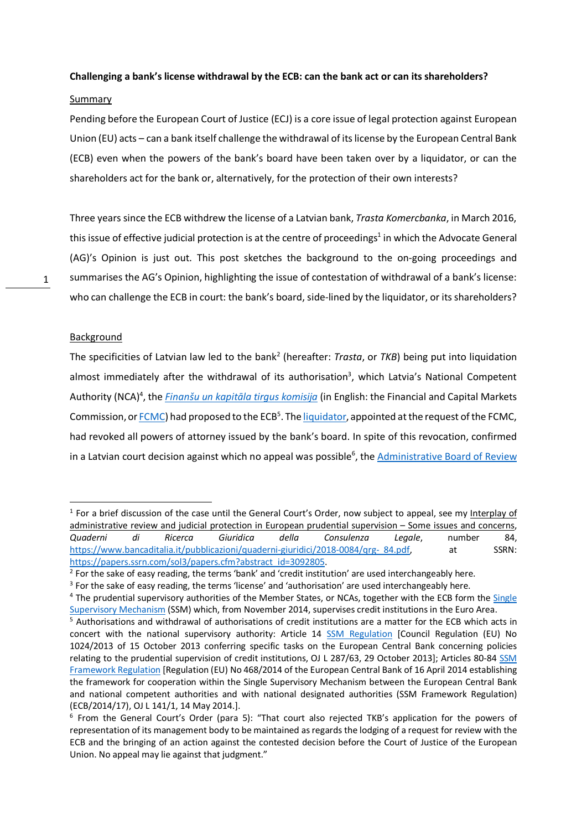## **Challenging a bank's license withdrawal by the ECB: can the bank act or can its shareholders?**

## Summary

Pending before the European Court of Justice (ECJ) is a core issue of legal protection against European Union (EU) acts – can a bank itself challenge the withdrawal of its license by the European Central Bank (ECB) even when the powers of the bank's board have been taken over by a liquidator, or can the shareholders act for the bank or, alternatively, for the protection of their own interests?

Three years since the ECB withdrew the license of a Latvian bank, *Trasta Komercbanka*, in March 2016, this issue of effective judicial protection is at the centre of proceedings<sup>1</sup> in which the Advocate General (AG)'s Opinion is just out. This post sketches the background to the on-going proceedings and summarises the AG's Opinion, highlighting the issue of contestation of withdrawal of a bank's license: who can challenge the ECB in court: the bank's board, side-lined by the liquidator, or its shareholders?

### **Background**

The specificities of Latvian law led to the bank2 (hereafter: *Trasta*, or *TKB*) being put into liquidation almost immediately after the withdrawal of its authorisation<sup>3</sup>, which Latvia's National Competent Authority (NCA)<sup>4</sup>, the *Finanšu un kapitāla tirgus komisija* (in English: the Financial and Capital Markets Commission, or **FCMC**) had proposed to the ECB<sup>5</sup>. The liquidator, appointed at the request of the FCMC, had revoked all powers of attorney issued by the bank's board. In spite of this revocation, confirmed in a Latvian court decision against which no appeal was possible<sup>6</sup>, the *Administrative Board of Review* 

 $1$  For a brief discussion of the case until the General Court's Order, now subject to appeal, see my Interplay of administrative review and judicial protection in European prudential supervision – Some issues and concerns, *Quaderni di Ricerca Giuridica della Consulenza Legale*, number 84, https://www.bancaditalia.it/pubblicazioni/quaderni-giuridici/2018-0084/qrg- 84.pdf, at SSRN: https://papers.ssrn.com/sol3/papers.cfm?abstract\_id=3092805.

 $<sup>2</sup>$  For the sake of easy reading, the terms 'bank' and 'credit institution' are used interchangeably here.</sup>

<sup>&</sup>lt;sup>3</sup> For the sake of easy reading, the terms 'license' and 'authorisation' are used interchangeably here.

<sup>&</sup>lt;sup>4</sup> The prudential supervisory authorities of the Member States, or NCAs, together with the ECB form the Single Supervisory Mechanism (SSM) which, from November 2014, supervises credit institutions in the Euro Area.<br><sup>5</sup> Authorisations and withdrawal of authorisations of credit institutions are a matter for the ECB which acts in

concert with the national supervisory authority: Article 14 SSM Regulation [Council Regulation (EU) No 1024/2013 of 15 October 2013 conferring specific tasks on the European Central Bank concerning policies relating to the prudential supervision of credit institutions, OJ L 287/63, 29 October 2013]; Articles 80-84 SSM Framework Regulation [Regulation (EU) No 468/2014 of the European Central Bank of 16 April 2014 establishing the framework for cooperation within the Single Supervisory Mechanism between the European Central Bank and national competent authorities and with national designated authorities (SSM Framework Regulation) (ECB/2014/17), OJ L 141/1, 14 May 2014.].

<sup>&</sup>lt;sup>6</sup> From the General Court's Order (para 5): "That court also rejected TKB's application for the powers of representation of its management body to be maintained as regards the lodging of a request for review with the ECB and the bringing of an action against the contested decision before the Court of Justice of the European Union. No appeal may lie against that judgment."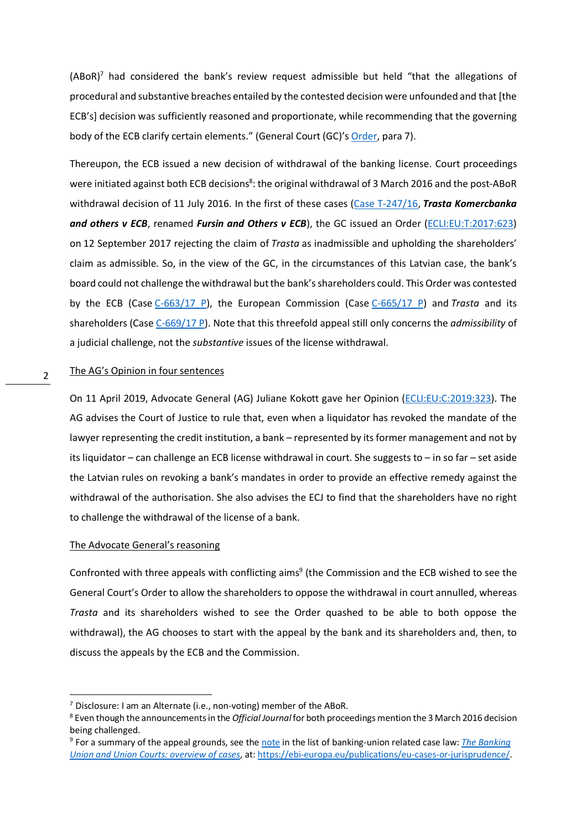$(ABoR)^7$  had considered the bank's review request admissible but held "that the allegations of procedural and substantive breaches entailed by the contested decision were unfounded and that [the ECB's] decision was sufficiently reasoned and proportionate, while recommending that the governing body of the ECB clarify certain elements." (General Court (GC)'s Order, para 7).

Thereupon, the ECB issued a new decision of withdrawal of the banking license. Court proceedings were initiated against both ECB decisions<sup>8</sup>: the original withdrawal of 3 March 2016 and the post-ABoR withdrawal decision of 11 July 2016. In the first of these cases (Case T-247/16, *Trasta Komercbanka*  and others v ECB, renamed Fursin and Others v ECB), the GC issued an Order (ECLI:EU:T:2017:623) on 12 September 2017 rejecting the claim of *Trasta* as inadmissible and upholding the shareholders' claim as admissible. So, in the view of the GC, in the circumstances of this Latvian case, the bank's board could not challenge the withdrawal but the bank's shareholders could. This Order was contested by the ECB (Case C-663/17 P), the European Commission (Case C-665/17 P) and *Trasta* and its shareholders (Case C-669/17 P). Note that this threefold appeal still only concerns the *admissibility* of a judicial challenge, not the *substantive* issues of the license withdrawal.

#### 2 The AG's Opinion in four sentences

On 11 April 2019, Advocate General (AG) Juliane Kokott gave her Opinion (ECLI:EU:C:2019:323). The AG advises the Court of Justice to rule that, even when a liquidator has revoked the mandate of the lawyer representing the credit institution, a bank – represented by its former management and not by its liquidator – can challenge an ECB license withdrawal in court. She suggests to – in so far – set aside the Latvian rules on revoking a bank's mandates in order to provide an effective remedy against the withdrawal of the authorisation. She also advises the ECJ to find that the shareholders have no right to challenge the withdrawal of the license of a bank.

#### The Advocate General's reasoning

Confronted with three appeals with conflicting aims<sup>9</sup> (the Commission and the ECB wished to see the General Court's Order to allow the shareholders to oppose the withdrawal in court annulled, whereas *Trasta* and its shareholders wished to see the Order quashed to be able to both oppose the withdrawal), the AG chooses to start with the appeal by the bank and its shareholders and, then, to discuss the appeals by the ECB and the Commission.

 $7$  Disclosure: I am an Alternate (i.e., non-voting) member of the ABoR.

<sup>8</sup> Even though the announcements in the *Official Journal*for both proceedings mention the 3 March 2016 decision being challenged.

<sup>9</sup> For a summary of the appeal grounds, see the note in the list of banking-union related case law: *The Banking Union and Union Courts: overview of cases*, at: https://ebi-europa.eu/publications/eu-cases-or-jurisprudence/.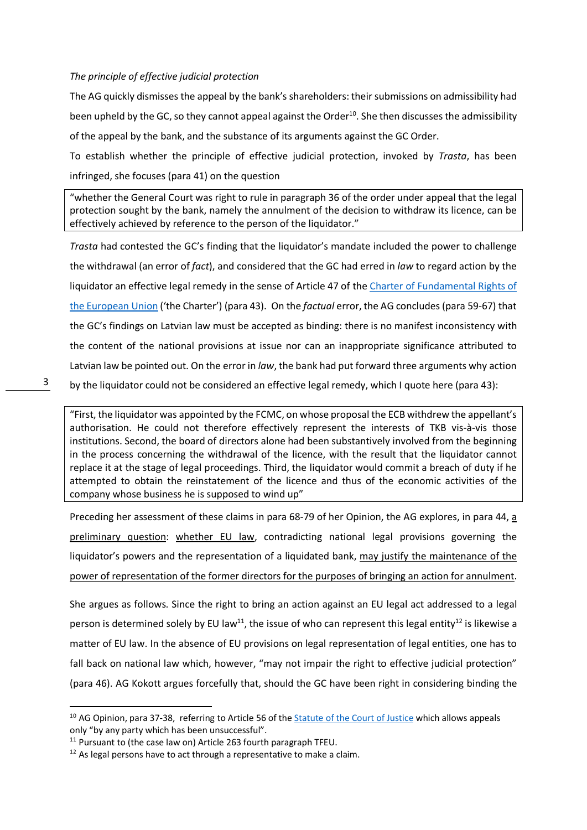## *The principle of effective judicial protection*

The AG quickly dismisses the appeal by the bank's shareholders: their submissions on admissibility had been upheld by the GC, so they cannot appeal against the Order<sup>10</sup>. She then discusses the admissibility of the appeal by the bank, and the substance of its arguments against the GC Order.

To establish whether the principle of effective judicial protection, invoked by *Trasta*, has been infringed, she focuses (para 41) on the question

"whether the General Court was right to rule in paragraph 36 of the order under appeal that the legal protection sought by the bank, namely the annulment of the decision to withdraw its licence, can be effectively achieved by reference to the person of the liquidator."

*Trasta* had contested the GC's finding that the liquidator's mandate included the power to challenge the withdrawal (an error of *fact*), and considered that the GC had erred in *law* to regard action by the liquidator an effective legal remedy in the sense of Article 47 of the Charter of Fundamental Rights of the European Union ('the Charter') (para 43). On the *factual* error, the AG concludes(para 59-67) that the GC's findings on Latvian law must be accepted as binding: there is no manifest inconsistency with the content of the national provisions at issue nor can an inappropriate significance attributed to Latvian law be pointed out. On the error in *law*, the bank had put forward three arguments why action by the liquidator could not be considered an effective legal remedy, which I quote here (para 43):

"First, the liquidator was appointed by the FCMC, on whose proposal the ECB withdrew the appellant's authorisation. He could not therefore effectively represent the interests of TKB vis-à-vis those institutions. Second, the board of directors alone had been substantively involved from the beginning in the process concerning the withdrawal of the licence, with the result that the liquidator cannot replace it at the stage of legal proceedings. Third, the liquidator would commit a breach of duty if he attempted to obtain the reinstatement of the licence and thus of the economic activities of the company whose business he is supposed to wind up"

Preceding her assessment of these claims in para 68-79 of her Opinion, the AG explores, in para 44, a preliminary question: whether EU law, contradicting national legal provisions governing the liquidator's powers and the representation of a liquidated bank, may justify the maintenance of the power of representation of the former directors for the purposes of bringing an action for annulment.

She argues as follows. Since the right to bring an action against an EU legal act addressed to a legal person is determined solely by EU law<sup>11</sup>, the issue of who can represent this legal entity<sup>12</sup> is likewise a matter of EU law. In the absence of EU provisions on legal representation of legal entities, one has to fall back on national law which, however, "may not impair the right to effective judicial protection" (para 46). AG Kokott argues forcefully that, should the GC have been right in considering binding the

<sup>&</sup>lt;sup>10</sup> AG Opinion, para 37-38, referring to Article 56 of the Statute of the Court of Justice which allows appeals only "by any party which has been unsuccessful".

<sup>&</sup>lt;sup>11</sup> Pursuant to (the case law on) Article 263 fourth paragraph TFEU.

 $12$  As legal persons have to act through a representative to make a claim.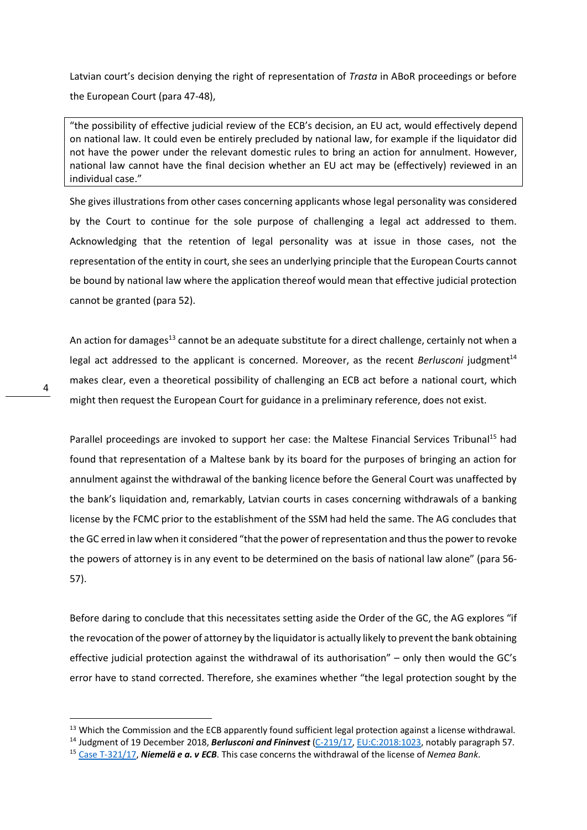Latvian court's decision denying the right of representation of *Trasta* in ABoR proceedings or before the European Court (para 47-48),

"the possibility of effective judicial review of the ECB's decision, an EU act, would effectively depend on national law. It could even be entirely precluded by national law, for example if the liquidator did not have the power under the relevant domestic rules to bring an action for annulment. However, national law cannot have the final decision whether an EU act may be (effectively) reviewed in an individual case."

She gives illustrations from other cases concerning applicants whose legal personality was considered by the Court to continue for the sole purpose of challenging a legal act addressed to them. Acknowledging that the retention of legal personality was at issue in those cases, not the representation of the entity in court, she sees an underlying principle that the European Courts cannot be bound by national law where the application thereof would mean that effective judicial protection cannot be granted (para 52).

An action for damages<sup>13</sup> cannot be an adequate substitute for a direct challenge, certainly not when a legal act addressed to the applicant is concerned. Moreover, as the recent *Berlusconi* judgment<sup>14</sup> makes clear, even a theoretical possibility of challenging an ECB act before a national court, which might then request the European Court for guidance in a preliminary reference, does not exist.

Parallel proceedings are invoked to support her case: the Maltese Financial Services Tribunal<sup>15</sup> had found that representation of a Maltese bank by its board for the purposes of bringing an action for annulment against the withdrawal of the banking licence before the General Court was unaffected by the bank's liquidation and, remarkably, Latvian courts in cases concerning withdrawals of a banking license by the FCMC prior to the establishment of the SSM had held the same. The AG concludes that the GC erred in law when it considered "that the power of representation and thus the power to revoke the powers of attorney is in any event to be determined on the basis of national law alone" (para 56- 57).

Before daring to conclude that this necessitates setting aside the Order of the GC, the AG explores "if the revocation of the power of attorney by the liquidator is actually likely to prevent the bank obtaining effective judicial protection against the withdrawal of its authorisation" – only then would the GC's error have to stand corrected. Therefore, she examines whether "the legal protection sought by the

<sup>&</sup>lt;sup>13</sup> Which the Commission and the ECB apparently found sufficient legal protection against a license withdrawal.

<sup>&</sup>lt;sup>14</sup> Judgment of 19 December 2018, **Berlusconi and Fininvest** (C-219/17, EU:C:2018:1023, notably paragraph 57.<br><sup>15</sup> Case T-321/17, **Niemelä e a. v ECB**. This case concerns the withdrawal of the license of Nemea Bank.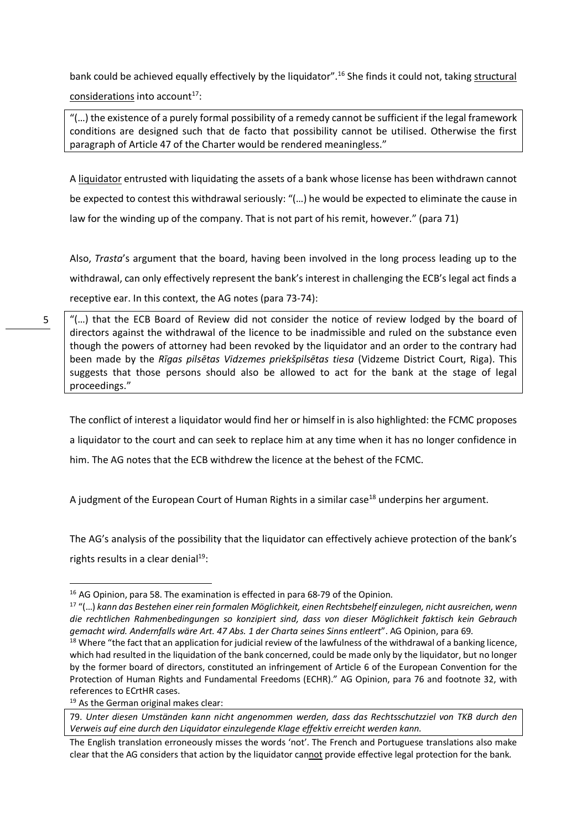bank could be achieved equally effectively by the liquidator".<sup>16</sup> She finds it could not, taking structural considerations into account<sup>17</sup>:

"(…) the existence of a purely formal possibility of a remedy cannot be sufficient if the legal framework conditions are designed such that de facto that possibility cannot be utilised. Otherwise the first paragraph of Article 47 of the Charter would be rendered meaningless."

A liquidator entrusted with liquidating the assets of a bank whose license has been withdrawn cannot be expected to contest this withdrawal seriously: "(…) he would be expected to eliminate the cause in law for the winding up of the company. That is not part of his remit, however." (para 71)

Also, *Trasta*'s argument that the board, having been involved in the long process leading up to the withdrawal, can only effectively represent the bank's interest in challenging the ECB's legal act finds a receptive ear. In this context, the AG notes (para 73-74):

"(…) that the ECB Board of Review did not consider the notice of review lodged by the board of directors against the withdrawal of the licence to be inadmissible and ruled on the substance even though the powers of attorney had been revoked by the liquidator and an order to the contrary had been made by the *Rīgas pilsētas Vidzemes priekšpilsētas tiesa* (Vidzeme District Court, Riga). This suggests that those persons should also be allowed to act for the bank at the stage of legal proceedings."

The conflict of interest a liquidator would find her or himself in is also highlighted: the FCMC proposes a liquidator to the court and can seek to replace him at any time when it has no longer confidence in him. The AG notes that the ECB withdrew the licence at the behest of the FCMC.

A judgment of the European Court of Human Rights in a similar case<sup>18</sup> underpins her argument.

The AG's analysis of the possibility that the liquidator can effectively achieve protection of the bank's rights results in a clear denial $19$ :

5

<sup>&</sup>lt;sup>16</sup> AG Opinion, para 58. The examination is effected in para 68-79 of the Opinion.

<sup>17</sup> "(…) *kann das Bestehen einer rein formalen Möglichkeit, einen Rechtsbehelf einzulegen, nicht ausreichen, wenn die rechtlichen Rahmenbedingungen so konzipiert sind, dass von dieser Möglichkeit faktisch kein Gebrauch gemacht wird. Andernfalls wäre Art. 47 Abs. 1 der Charta seines Sinns entleert*". AG Opinion, para 69.

<sup>&</sup>lt;sup>18</sup> Where "the fact that an application for judicial review of the lawfulness of the withdrawal of a banking licence, which had resulted in the liquidation of the bank concerned, could be made only by the liquidator, but no longer by the former board of directors, constituted an infringement of Article 6 of the European Convention for the Protection of Human Rights and Fundamental Freedoms (ECHR)." AG Opinion, para 76 and footnote 32, with references to ECrtHR cases.

<sup>&</sup>lt;sup>19</sup> As the German original makes clear:

<sup>79.</sup> *Unter diesen Umständen kann nicht angenommen werden, dass das Rechtsschutzziel von TKB durch den Verweis auf eine durch den Liquidator einzulegende Klage effektiv erreicht werden kann.* 

The English translation erroneously misses the words 'not'. The French and Portuguese translations also make clear that the AG considers that action by the liquidator cannot provide effective legal protection for the bank.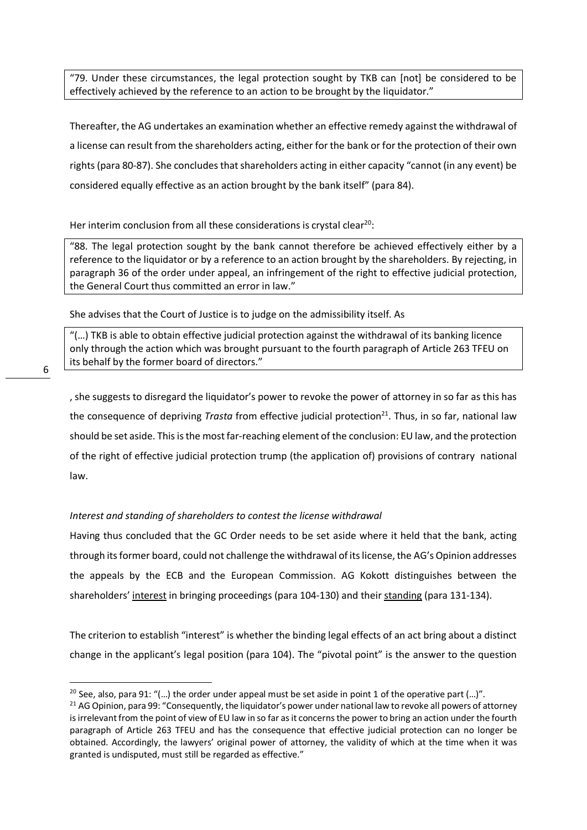"79. Under these circumstances, the legal protection sought by TKB can [not] be considered to be effectively achieved by the reference to an action to be brought by the liquidator."

Thereafter, the AG undertakes an examination whether an effective remedy against the withdrawal of a license can result from the shareholders acting, either for the bank or for the protection of their own rights (para 80-87). She concludes that shareholders acting in either capacity "cannot (in any event) be considered equally effective as an action brought by the bank itself" (para 84).

# Her interim conclusion from all these considerations is crystal clear<sup>20</sup>:

"88. The legal protection sought by the bank cannot therefore be achieved effectively either by a reference to the liquidator or by a reference to an action brought by the shareholders. By rejecting, in paragraph 36 of the order under appeal, an infringement of the right to effective judicial protection, the General Court thus committed an error in law."

She advises that the Court of Justice is to judge on the admissibility itself. As

"(…) TKB is able to obtain effective judicial protection against the withdrawal of its banking licence only through the action which was brought pursuant to the fourth paragraph of Article 263 TFEU on its behalf by the former board of directors."

, she suggests to disregard the liquidator's power to revoke the power of attorney in so far as this has the consequence of depriving *Trasta* from effective judicial protection<sup>21</sup>. Thus, in so far, national law should be set aside. This is the most far-reaching element of the conclusion: EU law, and the protection of the right of effective judicial protection trump (the application of) provisions of contrary national law.

# *Interest and standing of shareholders to contest the license withdrawal*

Having thus concluded that the GC Order needs to be set aside where it held that the bank, acting through its former board, could not challenge the withdrawal of its license, the AG's Opinion addresses the appeals by the ECB and the European Commission. AG Kokott distinguishes between the shareholders' interest in bringing proceedings (para 104-130) and their standing (para 131-134).

The criterion to establish "interest" is whether the binding legal effects of an act bring about a distinct change in the applicant's legal position (para 104). The "pivotal point" is the answer to the question

<sup>&</sup>lt;sup>20</sup> See, also, para 91: "(...) the order under appeal must be set aside in point 1 of the operative part (...)".

<sup>&</sup>lt;sup>21</sup> AG Opinion, para 99: "Consequently, the liquidator's power under national law to revoke all powers of attorney is irrelevant from the point of view of EU law in so far as it concerns the power to bring an action under the fourth paragraph of Article 263 TFEU and has the consequence that effective judicial protection can no longer be obtained. Accordingly, the lawyers' original power of attorney, the validity of which at the time when it was granted is undisputed, must still be regarded as effective."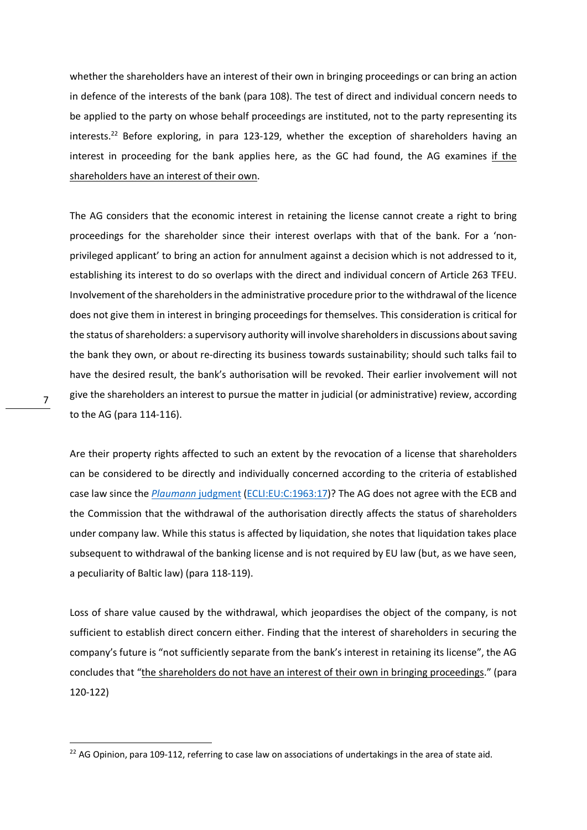whether the shareholders have an interest of their own in bringing proceedings or can bring an action in defence of the interests of the bank (para 108). The test of direct and individual concern needs to be applied to the party on whose behalf proceedings are instituted, not to the party representing its interests.<sup>22</sup> Before exploring, in para 123-129, whether the exception of shareholders having an interest in proceeding for the bank applies here, as the GC had found, the AG examines if the shareholders have an interest of their own.

The AG considers that the economic interest in retaining the license cannot create a right to bring proceedings for the shareholder since their interest overlaps with that of the bank. For a 'nonprivileged applicant' to bring an action for annulment against a decision which is not addressed to it, establishing its interest to do so overlaps with the direct and individual concern of Article 263 TFEU. Involvement of the shareholders in the administrative procedure prior to the withdrawal of the licence does not give them in interest in bringing proceedings for themselves. This consideration is critical for the status of shareholders: a supervisory authority will involve shareholders in discussions about saving the bank they own, or about re-directing its business towards sustainability; should such talks fail to have the desired result, the bank's authorisation will be revoked. Their earlier involvement will not give the shareholders an interest to pursue the matter in judicial (or administrative) review, according to the AG (para 114-116).

Are their property rights affected to such an extent by the revocation of a license that shareholders can be considered to be directly and individually concerned according to the criteria of established case law since the *Plaumann* judgment (ECLI:EU:C:1963:17)? The AG does not agree with the ECB and the Commission that the withdrawal of the authorisation directly affects the status of shareholders under company law. While this status is affected by liquidation, she notes that liquidation takes place subsequent to withdrawal of the banking license and is not required by EU law (but, as we have seen, a peculiarity of Baltic law) (para 118-119).

Loss of share value caused by the withdrawal, which jeopardises the object of the company, is not sufficient to establish direct concern either. Finding that the interest of shareholders in securing the company's future is "not sufficiently separate from the bank's interest in retaining its license", the AG concludes that "the shareholders do not have an interest of their own in bringing proceedings." (para 120-122)

<sup>&</sup>lt;sup>22</sup> AG Opinion, para 109-112, referring to case law on associations of undertakings in the area of state aid.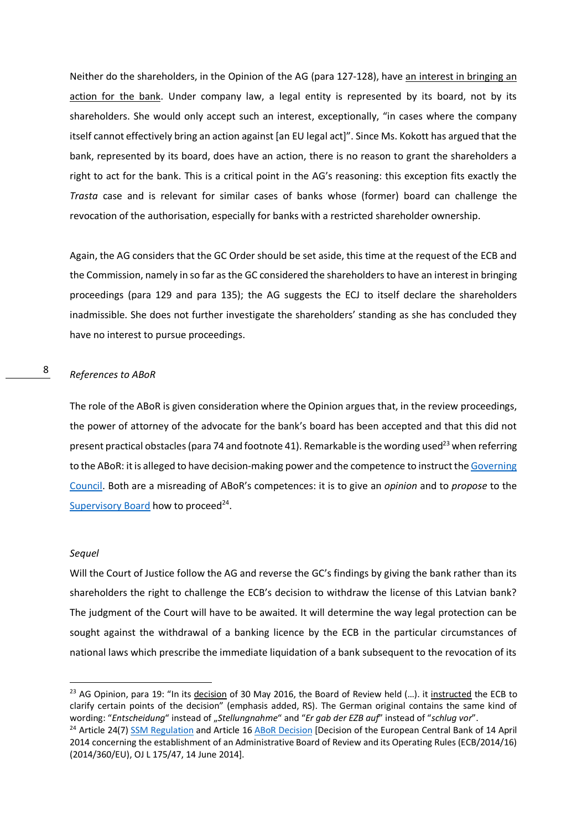Neither do the shareholders, in the Opinion of the AG (para 127-128), have an interest in bringing an action for the bank. Under company law, a legal entity is represented by its board, not by its shareholders. She would only accept such an interest, exceptionally, "in cases where the company itself cannot effectively bring an action against [an EU legal act]". Since Ms. Kokott has argued that the bank, represented by its board, does have an action, there is no reason to grant the shareholders a right to act for the bank. This is a critical point in the AG's reasoning: this exception fits exactly the *Trasta* case and is relevant for similar cases of banks whose (former) board can challenge the revocation of the authorisation, especially for banks with a restricted shareholder ownership.

Again, the AG considers that the GC Order should be set aside, this time at the request of the ECB and the Commission, namely in so far as the GC considered the shareholders to have an interest in bringing proceedings (para 129 and para 135); the AG suggests the ECJ to itself declare the shareholders inadmissible. She does not further investigate the shareholders' standing as she has concluded they have no interest to pursue proceedings.

#### 8 *References to ABoR*

The role of the ABoR is given consideration where the Opinion argues that, in the review proceedings, the power of attorney of the advocate for the bank's board has been accepted and that this did not present practical obstacles (para 74 and footnote 41). Remarkable is the wording used<sup>23</sup> when referring to the ABoR: it is alleged to have decision-making power and the competence to instruct the Governing Council. Both are a misreading of ABoR's competences: it is to give an *opinion* and to *propose* to the Supervisory Board how to proceed $24$ .

#### *Sequel*

Will the Court of Justice follow the AG and reverse the GC's findings by giving the bank rather than its shareholders the right to challenge the ECB's decision to withdraw the license of this Latvian bank? The judgment of the Court will have to be awaited. It will determine the way legal protection can be sought against the withdrawal of a banking licence by the ECB in the particular circumstances of national laws which prescribe the immediate liquidation of a bank subsequent to the revocation of its

<sup>23</sup> AG Opinion, para 19: "In its decision of 30 May 2016, the Board of Review held  $(...)$ . it instructed the ECB to clarify certain points of the decision" (emphasis added, RS). The German original contains the same kind of wording: "*Entscheidung*" instead of "*Stellungnahme*" and "*Er gab der EZB auf*" instead of "*schlug vor*".

<sup>&</sup>lt;sup>24</sup> Article 24(7) SSM Regulation and Article 16 ABoR Decision [Decision of the European Central Bank of 14 April 2014 concerning the establishment of an Administrative Board of Review and its Operating Rules (ECB/2014/16) (2014/360/EU), OJ L 175/47, 14 June 2014].